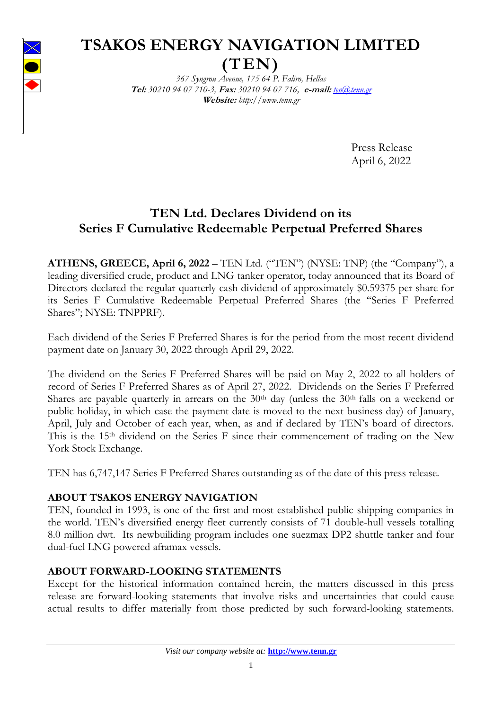

# **TSAKOS ENERGY NAVIGATION LIMITED**

**(TEN)**

*367 Syngrou Avenue, 175 64 P. Faliro, Hellas* **Tel:** *30210 94 07 710-3,* **Fax:** *30210 94 07 716,* **e-mail:** *[ten@tenn.gr](mailto:ten@tenn.gr)* **Website:** *http://www.tenn.gr* 

> Press Release April 6, 2022

## **TEN Ltd. Declares Dividend on its Series F Cumulative Redeemable Perpetual Preferred Shares**

**ATHENS, GREECE, April 6, 2022** – TEN Ltd. ("TEN") (NYSE: TNP) (the "Company"), a leading diversified crude, product and LNG tanker operator, today announced that its Board of Directors declared the regular quarterly cash dividend of approximately \$0.59375 per share for its Series F Cumulative Redeemable Perpetual Preferred Shares (the "Series F Preferred Shares"; NYSE: TNPPRF).

Each dividend of the Series F Preferred Shares is for the period from the most recent dividend payment date on January 30, 2022 through April 29, 2022.

The dividend on the Series F Preferred Shares will be paid on May 2, 2022 to all holders of record of Series F Preferred Shares as of April 27, 2022. Dividends on the Series F Preferred Shares are payable quarterly in arrears on the  $30<sup>th</sup>$  day (unless the  $30<sup>th</sup>$  falls on a weekend or public holiday, in which case the payment date is moved to the next business day) of January, April, July and October of each year, when, as and if declared by TEN's board of directors. This is the 15<sup>th</sup> dividend on the Series F since their commencement of trading on the New York Stock Exchange.

TEN has 6,747,147 Series F Preferred Shares outstanding as of the date of this press release.

## **ABOUT TSAKOS ENERGY NAVIGATION**

TEN, founded in 1993, is one of the first and most established public shipping companies in the world. TEN's diversified energy fleet currently consists of 71 double-hull vessels totalling 8.0 million dwt. Its newbuiliding program includes one suezmax DP2 shuttle tanker and four dual-fuel LNG powered aframax vessels.

## **ABOUT FORWARD-LOOKING STATEMENTS**

Except for the historical information contained herein, the matters discussed in this press release are forward-looking statements that involve risks and uncertainties that could cause actual results to differ materially from those predicted by such forward-looking statements.